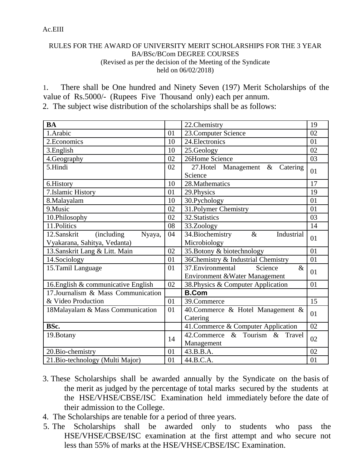## Ac.EIII

## RULES FOR THE AWARD OF UNIVERSITY MERIT SCHOLARSHIPS FOR THE 3 YEAR BA/BSc/BCom DEGREE COURSES (Revised as per the decision of the Meeting of the Syndicate held on 06/02/2018)

1. There shall be One hundred and Ninety Seven (197) Merit Scholarships of the value of Rs.5000/- (Rupees Five Thousand only) each per annum.

2. The subject wise distribution of the scholarships shall be as follows:

| <b>BA</b>                            |    | 22.Chemistry                             | 19             |
|--------------------------------------|----|------------------------------------------|----------------|
| 1.Arabic                             | 01 | 23. Computer Science                     | 02             |
| 2. Economics                         | 10 | 24. Electronics                          | 01             |
| 3.English                            | 10 | 25.Geology                               | 02             |
| 4. Geography                         | 02 | 26Home Science                           | 03             |
| 5.Hindi                              | 02 | 27. Hotel Management<br>$\&$<br>Catering | 01             |
|                                      |    | Science                                  |                |
| 6.History                            | 10 | 28. Mathematics                          | 17             |
| 7.Islamic History                    | 01 | 29. Physics                              | 19             |
| 8.Malayalam                          | 10 | 30.Pychology                             | 01             |
| 9. Music                             | 02 | 31. Polymer Chemistry                    | 01             |
| 10.Philosophy                        | 02 | 32. Statistics                           | 03             |
| 11.Politics                          | 08 | 33.Zoology                               | 14             |
| 12.Sanskrit<br>(including)<br>Nyaya, | 04 | 34. Biochemistry<br>Industrial<br>$\&$   | 01             |
| Vyakarana, Sahitya, Vedanta)         |    | Microbiology                             |                |
| 13. Sanskrit Lang & Litt. Main       | 02 | 35. Botony & biotechnology               | 01             |
| 14.Sociology                         | 01 | 36Chemistry & Industrial Chemistry       | 01             |
| 15. Tamil Language                   | 01 | 37. Environmental<br>$\&$<br>Science     | 01             |
|                                      |    | Environment & Water Management           |                |
| 16. English & communicative English  | 02 | 38. Physics & Computer Application       | 01             |
| 17.Journalism & Mass Communication   |    | <b>B.Com</b>                             |                |
| & Video Production                   | 01 | 39.Commerce                              | 15             |
| 18Malayalam & Mass Communication     | 01 | 40. Commerce & Hotel Management &        | 01             |
|                                      |    | Catering                                 |                |
| BSc.                                 |    | 41. Commerce & Computer Application      | 02             |
| 19. Botany                           | 14 | 42. Commerce & Tourism &<br>Travel       | 02             |
|                                      |    | Management                               |                |
| 20. Bio-chemistry                    | 01 | 43.B.B.A.                                | 0 <sub>2</sub> |
| 21. Bio-technology (Multi Major)     | 01 | 44.B.C.A.                                | 01             |

- 3. These Scholarships shall be awarded annually by the Syndicate on the basis of the merit as judged by the percentage of total marks secured by the students at the HSE/VHSE/CBSE/ISC Examination held immediately before the date of their admission to the College.
- 4. The Scholarships are tenable for a period of three years.
- 5. The Scholarships shall be awarded only to students who pass the HSE/VHSE/CBSE/ISC examination at the first attempt and who secure not less than 55% of marks at the HSE/VHSE/CBSE/ISC Examination.